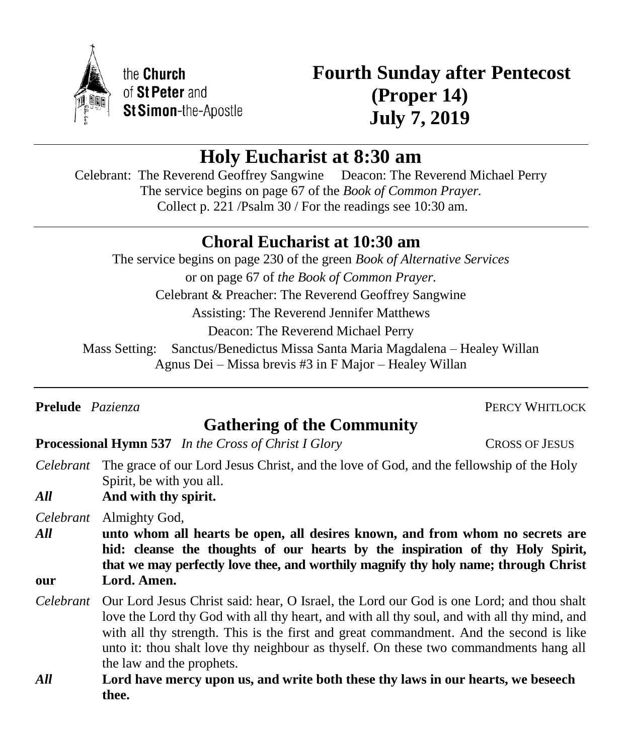

# **Holy Eucharist at 8:30 am**

Celebrant: The Reverend Geoffrey Sangwine Deacon: The Reverend Michael Perry The service begins on page 67 of the *Book of Common Prayer.* Collect p. 221 /Psalm 30 / For the readings see 10:30 am.

## **Choral Eucharist at 10:30 am**

The service begins on page 230 of the green *Book of Alternative Services* or on page 67 of *the Book of Common Prayer.* Celebrant & Preacher: The Reverend Geoffrey Sangwine Assisting: The Reverend Jennifer Matthews Deacon: The Reverend Michael Perry Mass Setting: Sanctus/Benedictus Missa Santa Maria Magdalena – Healey Willan Agnus Dei – Missa brevis #3 in F Major – Healey Willan

**Prelude** *Pazienza* PERCY WHITLOCK

# **Gathering of the Community**

**Processional Hymn 537** *In the Cross of Christ I Glory* CROSS OF JESUS

- *Celebrant* The grace of our Lord Jesus Christ, and the love of God, and the fellowship of the Holy Spirit, be with you all.
- *All* **And with thy spirit.**

*Celebrant* Almighty God,

- *All* **unto whom all hearts be open, all desires known, and from whom no secrets are hid: cleanse the thoughts of our hearts by the inspiration of thy Holy Spirit, that we may perfectly love thee, and worthily magnify thy holy name; through Christ our Lord. Amen.**
- *Celebrant* Our Lord Jesus Christ said: hear, O Israel, the Lord our God is one Lord; and thou shalt love the Lord thy God with all thy heart, and with all thy soul, and with all thy mind, and with all thy strength. This is the first and great commandment. And the second is like unto it: thou shalt love thy neighbour as thyself. On these two commandments hang all the law and the prophets.
- *All* **Lord have mercy upon us, and write both these thy laws in our hearts, we beseech thee.**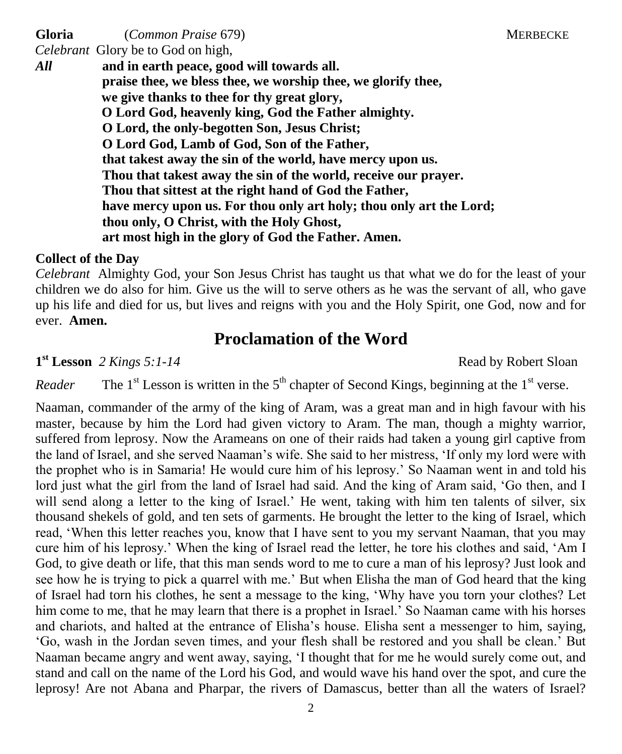**Gloria** (*Common Praise* 679) MERBECKE *Celebrant* Glory be to God on high, *All* **and in earth peace, good will towards all. praise thee, we bless thee, we worship thee, we glorify thee, we give thanks to thee for thy great glory, O Lord God, heavenly king, God the Father almighty. O Lord, the only-begotten Son, Jesus Christ; O Lord God, Lamb of God, Son of the Father, that takest away the sin of the world, have mercy upon us. Thou that takest away the sin of the world, receive our prayer. Thou that sittest at the right hand of God the Father, have mercy upon us. For thou only art holy; thou only art the Lord; thou only, O Christ, with the Holy Ghost, art most high in the glory of God the Father. Amen.**

#### **Collect of the Day**

*Celebrant* Almighty God, your Son Jesus Christ has taught us that what we do for the least of your children we do also for him. Give us the will to serve others as he was the servant of all, who gave up his life and died for us, but lives and reigns with you and the Holy Spirit, one God, now and for ever.**Amen.**

### **Proclamation of the Word**

**1**<sup>st</sup> Lesson *2 Kings 5:1-14* Read by Robert Sloan

*Reader* The 1<sup>st</sup> Lesson is written in the 5<sup>th</sup> chapter of Second Kings, beginning at the 1<sup>st</sup> verse.

Naaman, commander of the army of the king of Aram, was a great man and in high favour with his master, because by him the Lord had given victory to Aram. The man, though a mighty warrior, suffered from leprosy. Now the Arameans on one of their raids had taken a young girl captive from the land of Israel, and she served Naaman's wife. She said to her mistress, 'If only my lord were with the prophet who is in Samaria! He would cure him of his leprosy.' So Naaman went in and told his lord just what the girl from the land of Israel had said. And the king of Aram said, 'Go then, and I will send along a letter to the king of Israel.' He went, taking with him ten talents of silver, six thousand shekels of gold, and ten sets of garments. He brought the letter to the king of Israel, which read, 'When this letter reaches you, know that I have sent to you my servant Naaman, that you may cure him of his leprosy.' When the king of Israel read the letter, he tore his clothes and said, 'Am I God, to give death or life, that this man sends word to me to cure a man of his leprosy? Just look and see how he is trying to pick a quarrel with me.' But when Elisha the man of God heard that the king of Israel had torn his clothes, he sent a message to the king, 'Why have you torn your clothes? Let him come to me, that he may learn that there is a prophet in Israel.' So Naaman came with his horses and chariots, and halted at the entrance of Elisha's house. Elisha sent a messenger to him, saying, 'Go, wash in the Jordan seven times, and your flesh shall be restored and you shall be clean.' But Naaman became angry and went away, saying, 'I thought that for me he would surely come out, and stand and call on the name of the Lord his God, and would wave his hand over the spot, and cure the leprosy! Are not Abana and Pharpar, the rivers of Damascus, better than all the waters of Israel?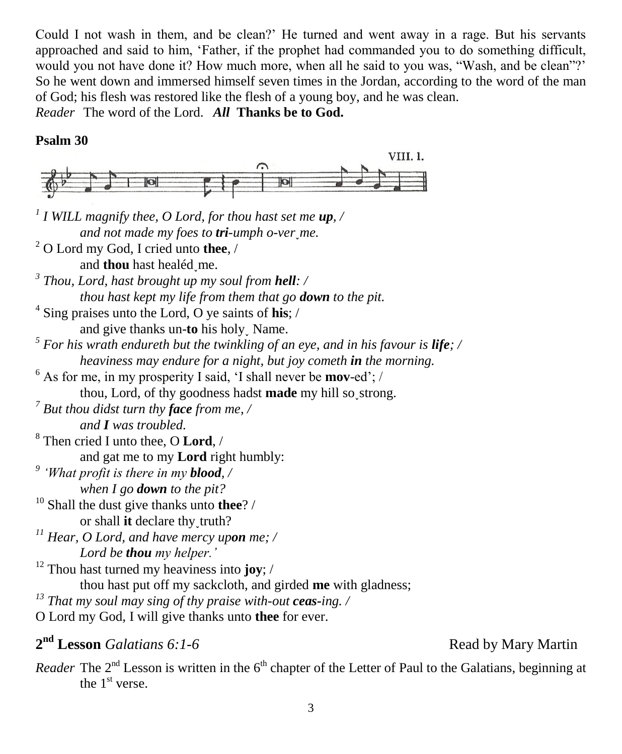Could I not wash in them, and be clean?' He turned and went away in a rage. But his servants approached and said to him, 'Father, if the prophet had commanded you to do something difficult, would you not have done it? How much more, when all he said to you was, "Wash, and be clean"?' So he went down and immersed himself seven times in the Jordan, according to the word of the man of God; his flesh was restored like the flesh of a young boy, and he was clean. *Reader* The word of the Lord. *All* **Thanks be to God.**

### **Psalm 30**



### **2 nd Lesson** *Galatians 6:1-6* Read by Mary Martin

*Reader* The 2<sup>nd</sup> Lesson is written in the 6<sup>th</sup> chapter of the Letter of Paul to the Galatians, beginning at the  $1<sup>st</sup>$  verse.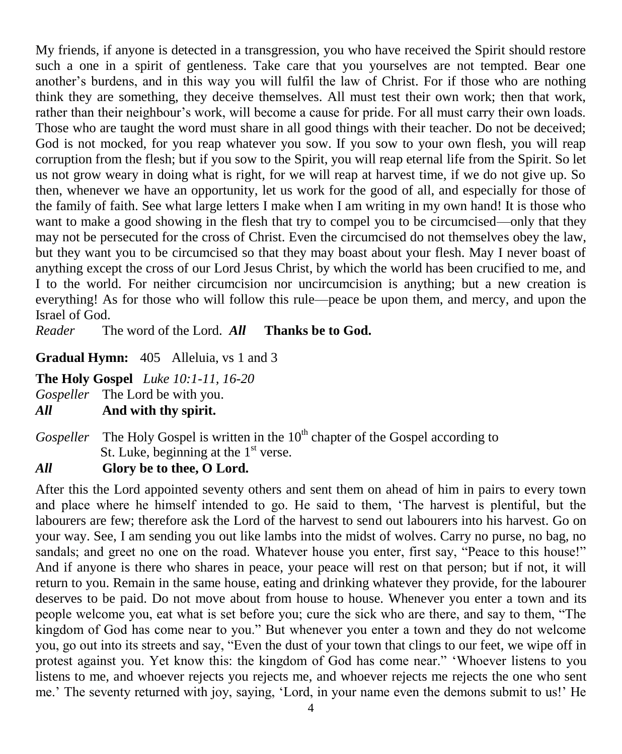My friends, if anyone is detected in a transgression, you who have received the Spirit should restore such a one in a spirit of gentleness. Take care that you yourselves are not tempted. Bear one another's burdens, and in this way you will fulfil the law of Christ. For if those who are nothing think they are something, they deceive themselves. All must test their own work; then that work, rather than their neighbour's work, will become a cause for pride. For all must carry their own loads. Those who are taught the word must share in all good things with their teacher. Do not be deceived; God is not mocked, for you reap whatever you sow. If you sow to your own flesh, you will reap corruption from the flesh; but if you sow to the Spirit, you will reap eternal life from the Spirit. So let us not grow weary in doing what is right, for we will reap at harvest time, if we do not give up. So then, whenever we have an opportunity, let us work for the good of all, and especially for those of the family of faith. See what large letters I make when I am writing in my own hand! It is those who want to make a good showing in the flesh that try to compel you to be circumcised—only that they may not be persecuted for the cross of Christ. Even the circumcised do not themselves obey the law, but they want you to be circumcised so that they may boast about your flesh. May I never boast of anything except the cross of our Lord Jesus Christ, by which the world has been crucified to me, and I to the world. For neither circumcision nor uncircumcision is anything; but a new creation is everything! As for those who will follow this rule—peace be upon them, and mercy, and upon the Israel of God.

*Reader* The word of the Lord. *All* **Thanks be to God.**

**Gradual Hymn:** 405 Alleluia, vs 1 and 3

**The Holy Gospel** *Luke 10:1-11, 16-20*

*Gospeller* The Lord be with you.

*All* **And with thy spirit.**

*Gospeller* The Holy Gospel is written in the 10<sup>th</sup> chapter of the Gospel according to St. Luke, beginning at the  $1<sup>st</sup>$  verse.

### *All* **Glory be to thee, O Lord.**

After this the Lord appointed seventy others and sent them on ahead of him in pairs to every town and place where he himself intended to go. He said to them, 'The harvest is plentiful, but the labourers are few; therefore ask the Lord of the harvest to send out labourers into his harvest. Go on your way. See, I am sending you out like lambs into the midst of wolves. Carry no purse, no bag, no sandals; and greet no one on the road. Whatever house you enter, first say, "Peace to this house!" And if anyone is there who shares in peace, your peace will rest on that person; but if not, it will return to you. Remain in the same house, eating and drinking whatever they provide, for the labourer deserves to be paid. Do not move about from house to house. Whenever you enter a town and its people welcome you, eat what is set before you; cure the sick who are there, and say to them, "The kingdom of God has come near to you." But whenever you enter a town and they do not welcome you, go out into its streets and say, "Even the dust of your town that clings to our feet, we wipe off in protest against you. Yet know this: the kingdom of God has come near." 'Whoever listens to you listens to me, and whoever rejects you rejects me, and whoever rejects me rejects the one who sent me.' The seventy returned with joy, saying, 'Lord, in your name even the demons submit to us!' He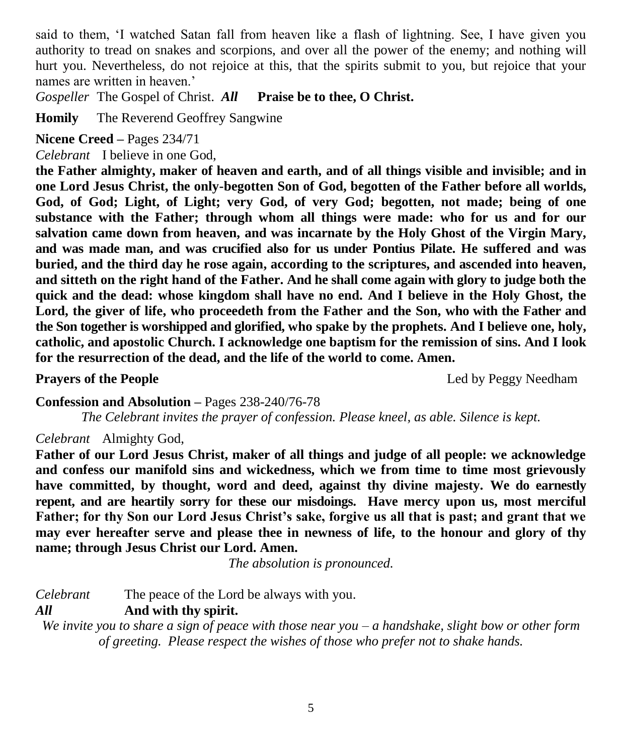said to them, 'I watched Satan fall from heaven like a flash of lightning. See, I have given you authority to tread on snakes and scorpions, and over all the power of the enemy; and nothing will hurt you. Nevertheless, do not rejoice at this, that the spirits submit to you, but rejoice that your names are written in heaven.'

*Gospeller* The Gospel of Christ. *All* **Praise be to thee, O Christ.**

**Homily** The Reverend Geoffrey Sangwine

**Nicene Creed –** Pages 234/71

*Celebrant* I believe in one God,

**the Father almighty, maker of heaven and earth, and of all things visible and invisible; and in one Lord Jesus Christ, the only-begotten Son of God, begotten of the Father before all worlds, God, of God; Light, of Light; very God, of very God; begotten, not made; being of one substance with the Father; through whom all things were made: who for us and for our salvation came down from heaven, and was incarnate by the Holy Ghost of the Virgin Mary, and was made man, and was crucified also for us under Pontius Pilate. He suffered and was buried, and the third day he rose again, according to the scriptures, and ascended into heaven, and sitteth on the right hand of the Father. And he shall come again with glory to judge both the quick and the dead: whose kingdom shall have no end. And I believe in the Holy Ghost, the Lord, the giver of life, who proceedeth from the Father and the Son, who with the Father and the Son together is worshipped and glorified, who spake by the prophets. And I believe one, holy, catholic, and apostolic Church. I acknowledge one baptism for the remission of sins. And I look for the resurrection of the dead, and the life of the world to come. Amen.**

**Prayers of the People Prayers of the People Led** by Peggy Needham

**Confession and Absolution –** Pages 238-240/76-78

*The Celebrant invites the prayer of confession. Please kneel, as able. Silence is kept.*

*Celebrant* Almighty God,

**Father of our Lord Jesus Christ, maker of all things and judge of all people: we acknowledge and confess our manifold sins and wickedness, which we from time to time most grievously**  have committed, by thought, word and deed, against thy divine majesty. We do earnestly **repent, and are heartily sorry for these our misdoings. Have mercy upon us, most merciful Father; for thy Son our Lord Jesus Christ's sake, forgive us all that is past; and grant that we may ever hereafter serve and please thee in newness of life, to the honour and glory of thy name; through Jesus Christ our Lord. Amen.**

*The absolution is pronounced.*

*Celebrant* The peace of the Lord be always with you. *All* **And with thy spirit.** *We invite you to share a sign of peace with those near you – a handshake, slight bow or other form of greeting. Please respect the wishes of those who prefer not to shake hands.*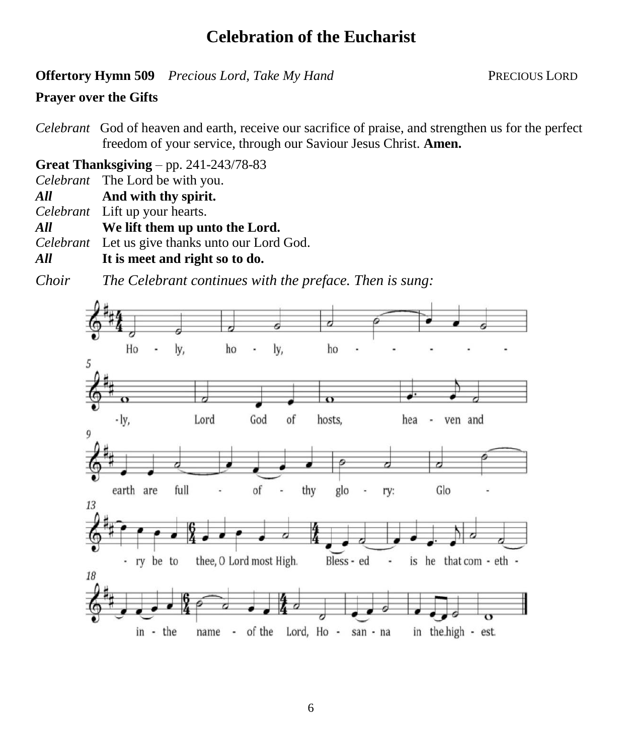## **Celebration of the Eucharist**

**Offertory Hymn 509** *Precious Lord, Take My Hand* PRECIOUS LORD

### **Prayer over the Gifts**

*Celebrant* God of heaven and earth, receive our sacrifice of praise, and strengthen us for the perfect freedom of your service, through our Saviour Jesus Christ. **Amen.**

**Great Thanksgiving** – pp. 241-243/78-83

*Celebrant* The Lord be with you.

*All* **And with thy spirit.**

*Celebrant* Lift up your hearts.

*All* **We lift them up unto the Lord.** 

*Celebrant* Let us give thanks unto our Lord God.

*All* **It is meet and right so to do.**

*Choir The Celebrant continues with the preface. Then is sung:*

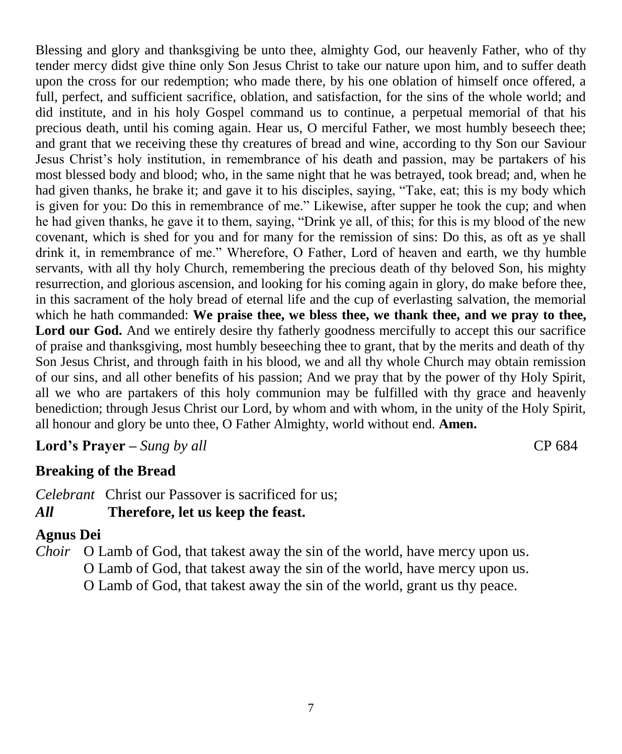Blessing and glory and thanksgiving be unto thee, almighty God, our heavenly Father, who of thy tender mercy didst give thine only Son Jesus Christ to take our nature upon him, and to suffer death upon the cross for our redemption; who made there, by his one oblation of himself once offered, a full, perfect, and sufficient sacrifice, oblation, and satisfaction, for the sins of the whole world; and did institute, and in his holy Gospel command us to continue, a perpetual memorial of that his precious death, until his coming again. Hear us, O merciful Father, we most humbly beseech thee; and grant that we receiving these thy creatures of bread and wine, according to thy Son our Saviour Jesus Christ's holy institution, in remembrance of his death and passion, may be partakers of his most blessed body and blood; who, in the same night that he was betrayed, took bread; and, when he had given thanks, he brake it; and gave it to his disciples, saying, "Take, eat; this is my body which is given for you: Do this in remembrance of me." Likewise, after supper he took the cup; and when he had given thanks, he gave it to them, saying, "Drink ye all, of this; for this is my blood of the new covenant, which is shed for you and for many for the remission of sins: Do this, as oft as ye shall drink it, in remembrance of me." Wherefore, O Father, Lord of heaven and earth, we thy humble servants, with all thy holy Church, remembering the precious death of thy beloved Son, his mighty resurrection, and glorious ascension, and looking for his coming again in glory, do make before thee, in this sacrament of the holy bread of eternal life and the cup of everlasting salvation, the memorial which he hath commanded: **We praise thee, we bless thee, we thank thee, and we pray to thee,**  Lord our God. And we entirely desire thy fatherly goodness mercifully to accept this our sacrifice of praise and thanksgiving, most humbly beseeching thee to grant, that by the merits and death of thy Son Jesus Christ, and through faith in his blood, we and all thy whole Church may obtain remission of our sins, and all other benefits of his passion; And we pray that by the power of thy Holy Spirit, all we who are partakers of this holy communion may be fulfilled with thy grace and heavenly benediction; through Jesus Christ our Lord, by whom and with whom, in the unity of the Holy Spirit, all honour and glory be unto thee, O Father Almighty, world without end. **Amen.**

### **Lord's Prayer –** *Sung by all* CP 684

### **Breaking of the Bread**

*Celebrant* Christ our Passover is sacrificed for us; *All* **Therefore, let us keep the feast.**

### **Agnus Dei**

*Choir* O Lamb of God, that takest away the sin of the world, have mercy upon us. O Lamb of God, that takest away the sin of the world, have mercy upon us. O Lamb of God, that takest away the sin of the world, grant us thy peace.